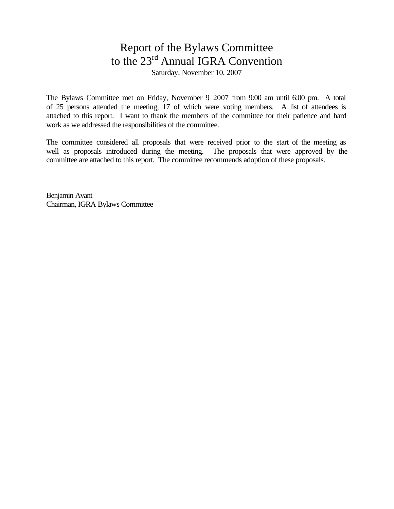# Report of the Bylaws Committee to the 23rd Annual IGRA Convention

Saturday, November 10, 2007

The Bylaws Committee met on Friday, November 9, 2007 from 9:00 am until 6:00 pm. A total of 25 persons attended the meeting, 17 of which were voting members. A list of attendees is attached to this report. I want to thank the members of the committee for their patience and hard work as we addressed the responsibilities of the committee.

The committee considered all proposals that were received prior to the start of the meeting as well as proposals introduced during the meeting. The proposals that were approved by the committee are attached to this report. The committee recommends adoption of these proposals.

Benjamin Avant Chairman, IGRA Bylaws Committee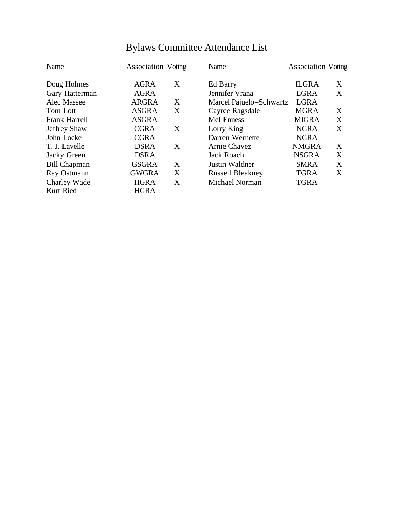| Name                 | <b>Association Voting</b> |   | Name                    | <b>Association Voting</b> |   |
|----------------------|---------------------------|---|-------------------------|---------------------------|---|
| Doug Holmes          | <b>AGRA</b>               | X | Ed Barry                | <b>ILGRA</b>              | X |
| Gary Hatterman       | <b>AGRA</b>               |   | Jennifer Vrana          | <b>LGRA</b>               | X |
| Alec Massee          | <b>ARGRA</b>              | X | Marcel Pajuelo-Schwartz | <b>LGRA</b>               |   |
| Tom Lott             | <b>ASGRA</b>              | X | Cayree Ragsdale         | <b>MGRA</b>               | X |
| <b>Frank Harrell</b> | <b>ASGRA</b>              |   | <b>Mel Enness</b>       | <b>MIGRA</b>              | X |
| <b>Jeffrey Shaw</b>  | <b>CGRA</b>               | X | Lorry King              | <b>NGRA</b>               | X |
| John Locke           | <b>CGRA</b>               |   | Darren Wernette         | <b>NGRA</b>               |   |
| T. J. Lavelle        | <b>DSRA</b>               | X | Arnie Chavez            | <b>NMGRA</b>              | X |
| Jacky Green          | <b>DSRA</b>               |   | <b>Jack Roach</b>       | <b>NSGRA</b>              | X |
| <b>Bill Chapman</b>  | <b>GSGRA</b>              | X | Justin Waldner          | <b>SMRA</b>               | X |
| Ray Ostmann          | <b>GWGRA</b>              | X | <b>Russell Bleakney</b> | <b>TGRA</b>               | X |
| Charley Wade         | <b>HGRA</b>               | X | Michael Norman          | <b>TGRA</b>               |   |
| Kurt Ried            | <b>HGRA</b>               |   |                         |                           |   |

# Bylaws Committee Attendance List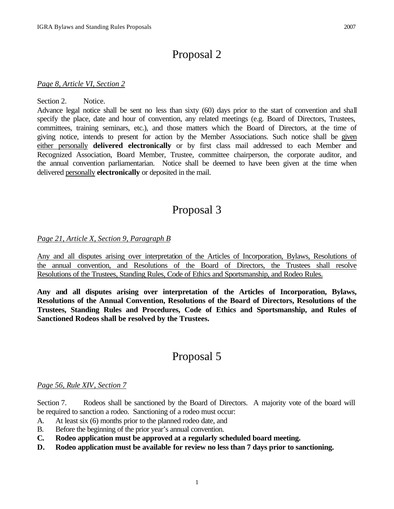# Proposal 2

#### *Page 8, Article VI, Section 2*

#### Section 2. Notice.

Advance legal notice shall be sent no less than sixty (60) days prior to the start of convention and shall specify the place, date and hour of convention, any related meetings (e.g. Board of Directors, Trustees, committees, training seminars, etc.), and those matters which the Board of Directors, at the time of giving notice, intends to present for action by the Member Associations. Such notice shall be given either personally **delivered electronically** or by first class mail addressed to each Member and Recognized Association, Board Member, Trustee, committee chairperson, the corporate auditor, and the annual convention parliamentarian. Notice shall be deemed to have been given at the time when delivered personally **electronically** or deposited in the mail.

## Proposal 3

### *Page 21, Article X, Section 9, Paragraph B*

Any and all disputes arising over interpretation of the Articles of Incorporation, Bylaws, Resolutions of the annual convention, and Resolutions of the Board of Directors, the Trustees shall resolve Resolutions of the Trustees, Standing Rules, Code of Ethics and Sportsmanship, and Rodeo Rules.

**Any and all disputes arising over interpretation of the Articles of Incorporation, Bylaws, Resolutions of the Annual Convention, Resolutions of the Board of Directors, Resolutions of the Trustees, Standing Rules and Procedures, Code of Ethics and Sportsmanship, and Rules of Sanctioned Rodeos shall be resolved by the Trustees.**

## Proposal 5

#### *Page 56, Rule XIV, Section 7*

Section 7. Rodeos shall be sanctioned by the Board of Directors. A majority vote of the board will be required to sanction a rodeo. Sanctioning of a rodeo must occur:

- A. At least six (6) months prior to the planned rodeo date, and
- B. Before the beginning of the prior year's annual convention.
- **C. Rodeo application must be approved at a regularly scheduled board meeting.**
- **D. Rodeo application must be available for review no less than 7 days prior to sanctioning.**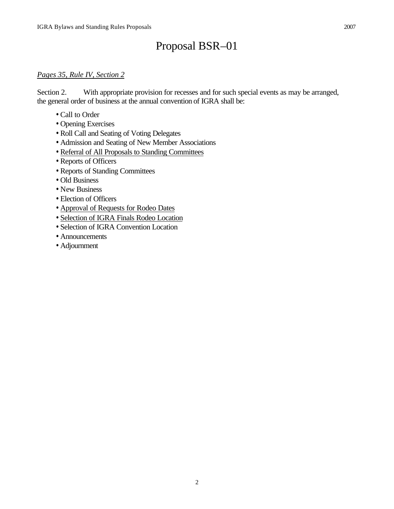# Proposal BSR–01

### *Pages 35, Rule IV, Section 2*

Section 2. With appropriate provision for recesses and for such special events as may be arranged, the general order of business at the annual convention of IGRA shall be:

- Call to Order
- Opening Exercises
- Roll Call and Seating of Voting Delegates
- Admission and Seating of New Member Associations
- Referral of All Proposals to Standing Committees
- Reports of Officers
- Reports of Standing Committees
- Old Business
- New Business
- Election of Officers
- Approval of Requests for Rodeo Dates
- Selection of IGRA Finals Rodeo Location
- Selection of IGRA Convention Location
- Announcements
- Adjournment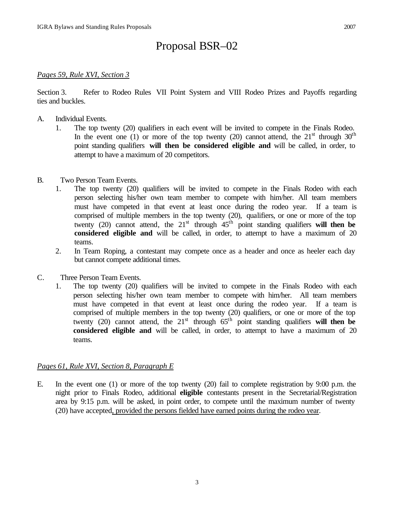# Proposal BSR–02

### *Pages 59, Rule XVI, Section 3*

Section 3. Refer to Rodeo Rules VII Point System and VIII Rodeo Prizes and Payoffs regarding ties and buckles.

- A. Individual Events.
	- 1. The top twenty (20) qualifiers in each event will be invited to compete in the Finals Rodeo. In the event one (1) or more of the top twenty (20) cannot attend, the  $21<sup>st</sup>$  through  $30<sup>th</sup>$ point standing qualifiers **will then be considered eligible and** will be called, in order, to attempt to have a maximum of 20 competitors.
- B. Two Person Team Events.
	- 1. The top twenty (20) qualifiers will be invited to compete in the Finals Rodeo with each person selecting his/her own team member to compete with him/her. All team members must have competed in that event at least once during the rodeo year. If a team is comprised of multiple members in the top twenty (20), qualifiers, or one or more of the top twenty (20) cannot attend, the  $21<sup>st</sup>$  through  $45<sup>th</sup>$  point standing qualifiers **will then be considered eligible and** will be called, in order, to attempt to have a maximum of 20 teams.
	- 2. In Team Roping, a contestant may compete once as a header and once as heeler each day but cannot compete additional times.
- C. Three Person Team Events.
	- 1. The top twenty (20) qualifiers will be invited to compete in the Finals Rodeo with each person selecting his/her own team member to compete with him/her. All team members must have competed in that event at least once during the rodeo year. If a team is comprised of multiple members in the top twenty (20) qualifiers, or one or more of the top twenty (20) cannot attend, the  $21<sup>st</sup>$  through  $65<sup>th</sup>$  point standing qualifiers **will then be considered eligible and** will be called, in order, to attempt to have a maximum of 20 teams.

#### *Pages 61, Rule XVI, Section 8, Paragraph E*

E. In the event one (1) or more of the top twenty (20) fail to complete registration by 9:00 p.m. the night prior to Finals Rodeo, additional **eligible** contestants present in the Secretarial/Registration area by 9:15 p.m. will be asked, in point order, to compete until the maximum number of twenty (20) have accepted, provided the persons fielded have earned points during the rodeo year.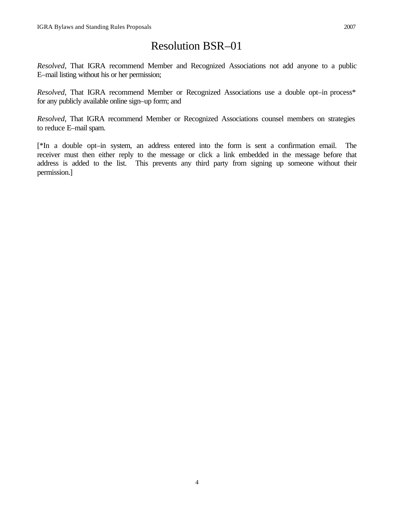# Resolution BSR–01

*Resolved*, That IGRA recommend Member and Recognized Associations not add anyone to a public E–mail listing without his or her permission;

*Resolved*, That IGRA recommend Member or Recognized Associations use a double opt–in process\* for any publicly available online sign–up form; and

*Resolved*, That IGRA recommend Member or Recognized Associations counsel members on strategies to reduce E–mail spam.

[\*In a double opt–in system, an address entered into the form is sent a confirmation email. The receiver must then either reply to the message or click a link embedded in the message before that address is added to the list. This prevents any third party from signing up someone without their permission.]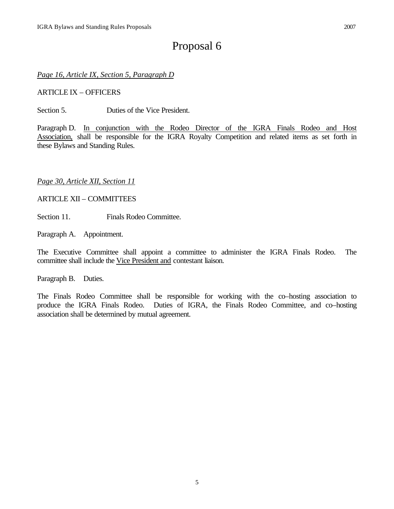# Proposal 6

*Page 16, Article IX, Section 5, Paragraph D*

ARTICLE IX – OFFICERS

Section 5. Duties of the Vice President.

Paragraph D. In conjunction with the Rodeo Director of the IGRA Finals Rodeo and Host Association, shall be responsible for the IGRA Royalty Competition and related items as set forth in these Bylaws and Standing Rules.

### *Page 30, Article XII, Section 11*

#### ARTICLE XII – COMMITTEES

Section 11. Finals Rodeo Committee.

Paragraph A. Appointment.

The Executive Committee shall appoint a committee to administer the IGRA Finals Rodeo. The committee shall include the Vice President and contestant liaison.

Paragraph B. Duties.

The Finals Rodeo Committee shall be responsible for working with the co–hosting association to produce the IGRA Finals Rodeo. Duties of IGRA, the Finals Rodeo Committee, and co–hosting association shall be determined by mutual agreement.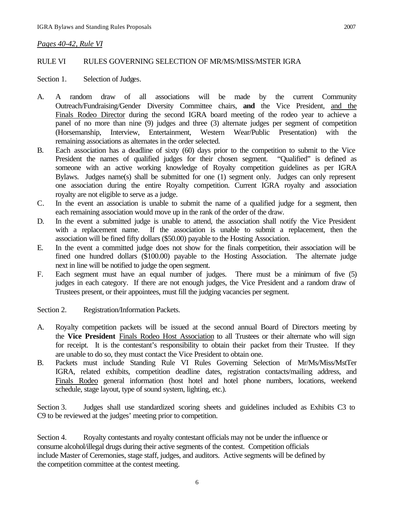### *Pages 40-42, Rule VI*

### RULE VI RULES GOVERNING SELECTION OF MR/MS/MISS/MSTER IGRA

Section 1. Selection of Judges.

- A. A random draw of all associations will be made by the current Community Outreach/Fundraising/Gender Diversity Committee chairs, **and** the Vice President, and the Finals Rodeo Director during the second IGRA board meeting of the rodeo year to achieve a panel of no more than nine (9) judges and three (3) alternate judges per segment of competition (Horsemanship, Interview, Entertainment, Western Wear/Public Presentation) with the remaining associations as alternates in the order selected.
- B. Each association has a deadline of sixty (60) days prior to the competition to submit to the Vice President the names of qualified judges for their chosen segment. "Qualified" is defined as someone with an active working knowledge of Royalty competition guidelines as per IGRA Bylaws. Judges name(s) shall be submitted for one (1) segment only. Judges can only represent one association during the entire Royalty competition. Current IGRA royalty and association royalty are not eligible to serve as a judge.
- C. In the event an association is unable to submit the name of a qualified judge for a segment, then each remaining association would move up in the rank of the order of the draw.
- D. In the event a submitted judge is unable to attend, the association shall notify the Vice President with a replacement name. If the association is unable to submit a replacement, then the association will be fined fifty dollars (\$50.00) payable to the Hosting Association.
- E. In the event a committed judge does not show for the finals competition, their association will be fined one hundred dollars (\$100.00) payable to the Hosting Association. The alternate judge next in line will be notified to judge the open segment.
- F. Each segment must have an equal number of judges. There must be a minimum of five (5) judges in each category. If there are not enough judges, the Vice President and a random draw of Trustees present, or their appointees, must fill the judging vacancies per segment.

Section 2. Registration/Information Packets.

- A. Royalty competition packets will be issued at the second annual Board of Directors meeting by the **Vice President** Finals Rodeo Host Association to all Trustees or their alternate who will sign for receipt. It is the contestant's responsibility to obtain their packet from their Trustee. If they are unable to do so, they must contact the Vice President to obtain one.
- B. Packets must include Standing Rule VI Rules Governing Selection of Mr/Ms/Miss/MstTer IGRA, related exhibits, competition deadline dates, registration contacts/mailing address, and Finals Rodeo general information (host hotel and hotel phone numbers, locations, weekend schedule, stage layout, type of sound system, lighting, etc.).

Section 3. Judges shall use standardized scoring sheets and guidelines included as Exhibits C3 to C9 to be reviewed at the judges' meeting prior to competition.

Section 4. Royalty contestants and royalty contestant officials may not be under the influence or consume alcohol/illegal drugs during their active segments of the contest. Competition officials include Master of Ceremonies, stage staff, judges, and auditors. Active segments will be defined by the competition committee at the contest meeting.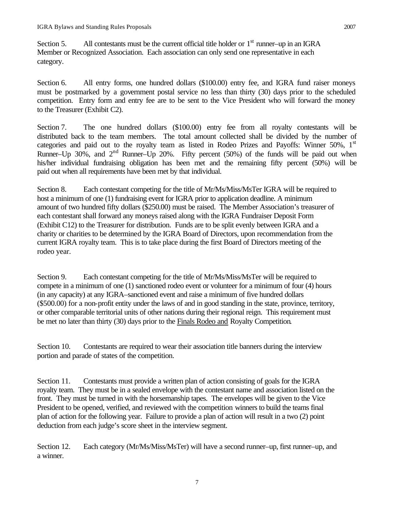Section 5. All contestants must be the current official title holder or  $1<sup>st</sup>$  runner–up in an IGRA Member or Recognized Association. Each association can only send one representative in each category.

Section 6. All entry forms, one hundred dollars (\$100.00) entry fee, and IGRA fund raiser moneys must be postmarked by a government postal service no less than thirty (30) days prior to the scheduled competition. Entry form and entry fee are to be sent to the Vice President who will forward the money to the Treasurer (Exhibit C2).

Section 7. The one hundred dollars (\$100.00) entry fee from all royalty contestants will be distributed back to the team members. The total amount collected shall be divided by the number of categories and paid out to the royalty team as listed in Rodeo Prizes and Payoffs: Winner 50%, 1<sup>st</sup> Runner–Up 30%, and  $2<sup>nd</sup>$  Runner–Up 20%. Fifty percent (50%) of the funds will be paid out when his/her individual fundraising obligation has been met and the remaining fifty percent (50%) will be paid out when all requirements have been met by that individual.

Section 8. Each contestant competing for the title of Mr/Ms/Miss/MsTer IGRA will be required to host a minimum of one (1) fundraising event for IGRA prior to application deadline. A minimum amount of two hundred fifty dollars (\$250.00) must be raised. The Member Association's treasurer of each contestant shall forward any moneys raised along with the IGRA Fundraiser Deposit Form (Exhibit C12) to the Treasurer for distribution. Funds are to be split evenly between IGRA and a charity or charities to be determined by the IGRA Board of Directors, upon recommendation from the current IGRA royalty team. This is to take place during the first Board of Directors meeting of the rodeo year.

Section 9. Each contestant competing for the title of Mr/Ms/Miss/MsTer will be required to compete in a minimum of one (1) sanctioned rodeo event or volunteer for a minimum of four (4) hours (in any capacity) at any IGRA–sanctioned event and raise a minimum of five hundred dollars (\$500.00) for a non-profit entity under the laws of and in good standing in the state, province, territory, or other comparable territorial units of other nations during their regional reign. This requirement must be met no later than thirty (30) days prior to the Finals Rodeo and Royalty Competition.

Section 10. Contestants are required to wear their association title banners during the interview portion and parade of states of the competition.

Section 11. Contestants must provide a written plan of action consisting of goals for the IGRA royalty team. They must be in a sealed envelope with the contestant name and association listed on the front. They must be turned in with the horsemanship tapes. The envelopes will be given to the Vice President to be opened, verified, and reviewed with the competition winners to build the teams final plan of action for the following year. Failure to provide a plan of action will result in a two (2) point deduction from each judge's score sheet in the interview segment.

Section 12. Each category (Mr/Ms/Miss/MsTer) will have a second runner–up, first runner–up, and a winner.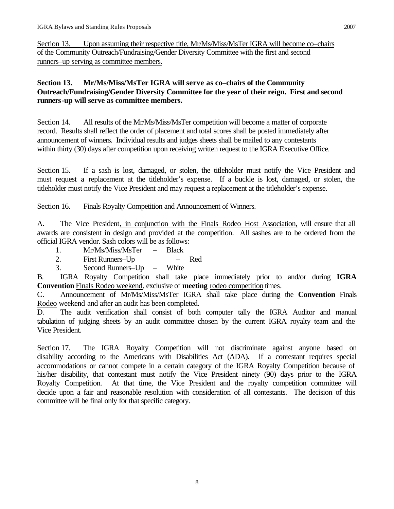Section 13. Upon assuming their respective title, Mr/Ms/Miss/MsTer IGRA will become co–chairs of the Community Outreach/Fundraising/Gender Diversity Committee with the first and second runners–up serving as committee members.

### **Section 13. Mr/Ms/Miss/MsTer IGRA will serve as co–chairs of the Community Outreach/Fundraising/Gender Diversity Committee for the year of their reign. First and second runners-up will serve as committee members.**

Section 14. All results of the Mr/Ms/Miss/MsTer competition will become a matter of corporate record. Results shall reflect the order of placement and total scores shall be posted immediately after announcement of winners. Individual results and judges sheets shall be mailed to any contestants within thirty (30) days after competition upon receiving written request to the IGRA Executive Office.

Section 15. If a sash is lost, damaged, or stolen, the titleholder must notify the Vice President and must request a replacement at the titleholder's expense. If a buckle is lost, damaged, or stolen, the titleholder must notify the Vice President and may request a replacement at the titleholder's expense.

Section 16. Finals Royalty Competition and Announcement of Winners.

A. The Vice President, in conjunction with the Finals Rodeo Host Association, will ensure that all awards are consistent in design and provided at the competition. All sashes are to be ordered from the official IGRA vendor. Sash colors will be as follows:

- 1. Mr/Ms/Miss/MsTer Black
- 2. First Runners–Up Red
- 3. Second Runners–Up White

B. IGRA Royalty Competition shall take place immediately prior to and/or during **IGRA Convention** Finals Rodeo weekend, exclusive of **meeting** rodeo competition times.

C. Announcement of Mr/Ms/Miss/MsTer IGRA shall take place during the **Convention** Finals Rodeo weekend and after an audit has been completed.

D. The audit verification shall consist of both computer tally the IGRA Auditor and manual tabulation of judging sheets by an audit committee chosen by the current IGRA royalty team and the Vice President.

Section 17. The IGRA Royalty Competition will not discriminate against anyone based on disability according to the Americans with Disabilities Act (ADA). If a contestant requires special accommodations or cannot compete in a certain category of the IGRA Royalty Competition because of his/her disability, that contestant must notify the Vice President ninety (90) days prior to the IGRA Royalty Competition. At that time, the Vice President and the royalty competition committee will decide upon a fair and reasonable resolution with consideration of all contestants. The decision of this committee will be final only for that specific category.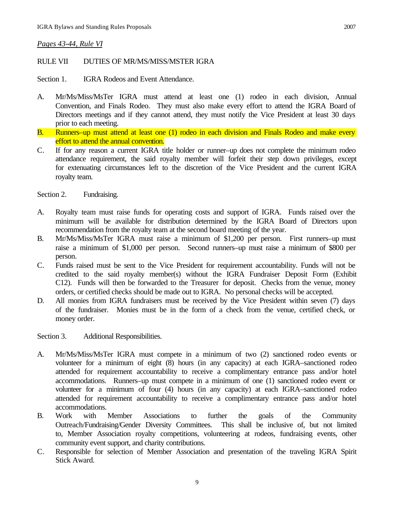### *Pages 43-44, Rule VI*

### RULE VII DUTIES OF MR/MS/MISS/MSTER IGRA

Section 1. **IGRA Rodeos and Event Attendance.** 

- A. Mr/Ms/Miss/MsTer IGRA must attend at least one (1) rodeo in each division, Annual Convention, and Finals Rodeo. They must also make every effort to attend the IGRA Board of Directors meetings and if they cannot attend, they must notify the Vice President at least 30 days prior to each meeting.
- B. Runners–up must attend at least one (1) rodeo in each division and Finals Rodeo and make every effort to attend the annual convention.
- C. If for any reason a current IGRA title holder or runner–up does not complete the minimum rodeo attendance requirement, the said royalty member will forfeit their step down privileges, except for extenuating circumstances left to the discretion of the Vice President and the current IGRA royalty team.

Section 2. Fundraising.

- A. Royalty team must raise funds for operating costs and support of IGRA. Funds raised over the minimum will be available for distribution determined by the IGRA Board of Directors upon recommendation from the royalty team at the second board meeting of the year.
- B. Mr/Ms/Miss/MsTer IGRA must raise a minimum of \$1,200 per person. First runners–up must raise a minimum of \$1,000 per person. Second runners–up must raise a minimum of \$800 per person.
- C. Funds raised must be sent to the Vice President for requirement accountability. Funds will not be credited to the said royalty member(s) without the IGRA Fundraiser Deposit Form (Exhibit C12). Funds will then be forwarded to the Treasurer for deposit. Checks from the venue, money orders, or certified checks should be made out to IGRA. No personal checks will be accepted.
- D. All monies from IGRA fundraisers must be received by the Vice President within seven (7) days of the fundraiser. Monies must be in the form of a check from the venue, certified check, or money order.

Section 3. Additional Responsibilities.

- A. Mr/Ms/Miss/MsTer IGRA must compete in a minimum of two (2) sanctioned rodeo events or volunteer for a minimum of eight (8) hours (in any capacity) at each IGRA–sanctioned rodeo attended for requirement accountability to receive a complimentary entrance pass and/or hotel accommodations. Runners–up must compete in a minimum of one (1) sanctioned rodeo event or volunteer for a minimum of four (4) hours (in any capacity) at each IGRA–sanctioned rodeo attended for requirement accountability to receive a complimentary entrance pass and/or hotel accommodations.
- B. Work with Member Associations to further the goals of the Community Outreach/Fundraising/Gender Diversity Committees. This shall be inclusive of, but not limited to, Member Association royalty competitions, volunteering at rodeos, fundraising events, other community event support, and charity contributions.
- C. Responsible for selection of Member Association and presentation of the traveling IGRA Spirit Stick Award.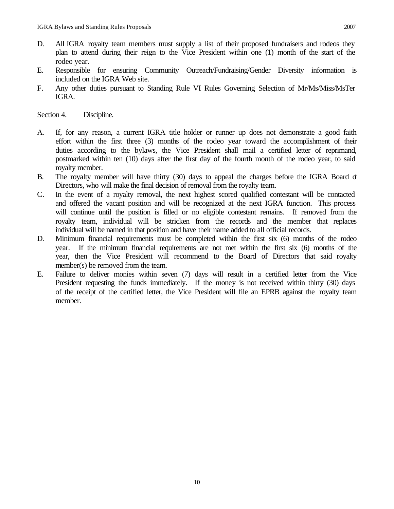- D. All IGRA royalty team members must supply a list of their proposed fundraisers and rodeos they plan to attend during their reign to the Vice President within one (1) month of the start of the rodeo year.
- E. Responsible for ensuring Community Outreach/Fundraising/Gender Diversity information is included on the IGRA Web site.
- F. Any other duties pursuant to Standing Rule VI Rules Governing Selection of Mr/Ms/Miss/MsTer IGRA.

Section 4. Discipline.

- A. If, for any reason, a current IGRA title holder or runner–up does not demonstrate a good faith effort within the first three (3) months of the rodeo year toward the accomplishment of their duties according to the bylaws, the Vice President shall mail a certified letter of reprimand, postmarked within ten (10) days after the first day of the fourth month of the rodeo year, to said royalty member.
- B. The royalty member will have thirty (30) days to appeal the charges before the IGRA Board of Directors, who will make the final decision of removal from the royalty team.
- C. In the event of a royalty removal, the next highest scored qualified contestant will be contacted and offered the vacant position and will be recognized at the next IGRA function. This process will continue until the position is filled or no eligible contestant remains. If removed from the royalty team, individual will be stricken from the records and the member that replaces individual will be named in that position and have their name added to all official records.
- D. Minimum financial requirements must be completed within the first six (6) months of the rodeo year. If the minimum financial requirements are not met within the first six (6) months of the year, then the Vice President will recommend to the Board of Directors that said royalty member(s) be removed from the team.
- E. Failure to deliver monies within seven (7) days will result in a certified letter from the Vice President requesting the funds immediately. If the money is not received within thirty (30) days of the receipt of the certified letter, the Vice President will file an EPRB against the royalty team member.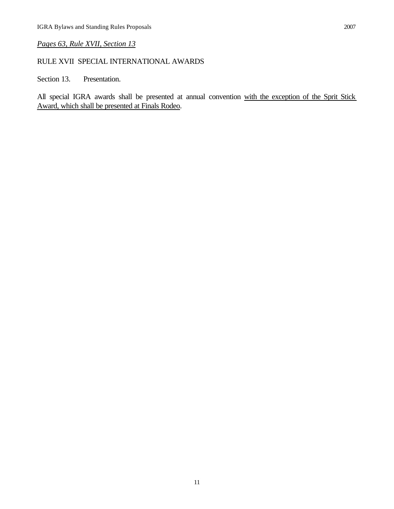## *Pages 63, Rule XVII, Section 13*

## RULE XVII SPECIAL INTERNATIONAL AWARDS

Section 13. Presentation.

All special IGRA awards shall be presented at annual convention with the exception of the Sprit Stick Award, which shall be presented at Finals Rodeo.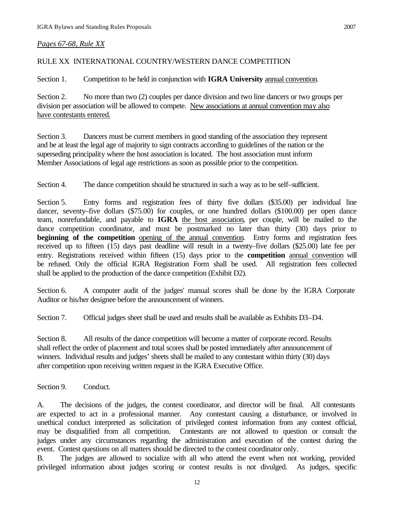### *Pages 67-68, Rule XX*

### RULE XX INTERNATIONAL COUNTRY/WESTERN DANCE COMPETITION

Section 1. Competition to be held in conjunction with **IGRA University** annual convention.

Section 2. No more than two (2) couples per dance division and two line dancers or two groups per division per association will be allowed to compete. New associations at annual convention may also have contestants entered.

Section 3. Dancers must be current members in good standing of the association they represent and be at least the legal age of majority to sign contracts according to guidelines of the nation or the superseding principality where the host association is located. The host association must inform Member Associations of legal age restrictions as soon as possible prior to the competition.

Section 4. The dance competition should be structured in such a way as to be self–sufficient.

Section 5. Entry forms and registration fees of thirty five dollars (\$35.00) per individual line dancer, seventy–five dollars (\$75.00) for couples, or one hundred dollars (\$100.00) per open dance team, nonrefundable, and payable to **IGRA** the host association, per couple, will be mailed to the dance competition coordinator, and must be postmarked no later than thirty (30) days prior to **beginning of the competition** opening of the annual convention. Entry forms and registration fees received up to fifteen (15) days past deadline will result in a twenty–five dollars (\$25.00) late fee per entry. Registrations received within fifteen (15) days prior to the **competition** annual convention will be refused. Only the official IGRA Registration Form shall be used. All registration fees collected shall be applied to the production of the dance competition (Exhibit D2).

Section 6. A computer audit of the judges' manual scores shall be done by the IGRA Corporate Auditor or his/her designee before the announcement of winners.

Section 7. Official judges sheet shall be used and results shall be available as Exhibits D3–D4.

Section 8. All results of the dance competition will become a matter of corporate record. Results shall reflect the order of placement and total scores shall be posted immediately after announcement of winners. Individual results and judges' sheets shall be mailed to any contestant within thirty (30) days after competition upon receiving written request in the IGRA Executive Office.

Section 9. Conduct.

A. The decisions of the judges, the contest coordinator, and director will be final. All contestants are expected to act in a professional manner. Any contestant causing a disturbance, or involved in unethical conduct interpreted as solicitation of privileged contest information from any contest official, may be disqualified from all competition. Contestants are not allowed to question or consult the judges under any circumstances regarding the administration and execution of the contest during the event. Contest questions on all matters should be directed to the contest coordinator only.

B. The judges are allowed to socialize with all who attend the event when not working, provided privileged information about judges scoring or contest results is not divulged. As judges, specific